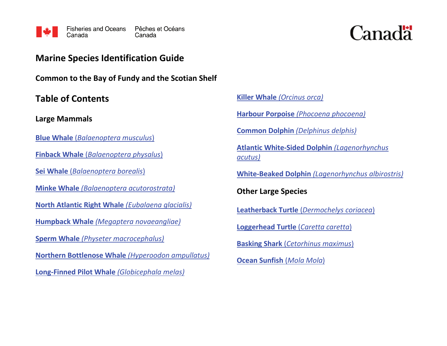

# Canadä

## **Marine Species Identification Guide**

**Common to the Bay of Fundy and the Scotian Shelf**

**Table of Contents**

**Large Mammals**

**Blue Whale** (*[Balaenoptera musculus](#page-1-0)*)

**Finback Whale** (*[Balaenoptera physalus](#page-2-0)*)

**Sei Whale** (*[Balaenoptera borealis](#page-3-0)*)

**Minke Whale** *[\(Balaenoptera acutorostrata\)](#page-4-0)*

**[North Atlantic Right Whale](#page-5-0)** *(Eubalaena glacialis)*

**Humpback Whale** *[\(Megaptera novaeangliae\)](#page-6-0)*

**Sperm Whale** *[\(Physeter macrocephalus\)](#page-7-0)*

**[Northern Bottlenose Whale](#page-8-0)** *(Hyperoodon ampullatus)*

**[Long-Finned Pilot Whale](#page-9-0)** *(Globicephala melas)*

**Killer Whale** *[\(Orcinus orca\)](#page-10-0)*

**Harbour Porpoise** *[\(Phocoena phocoena\)](#page-11-0)*

**Common Dolphin** *[\(Delphinus delphis\)](#page-12-0)*

**[Atlantic White-Sided Dolphin](#page-13-0)** *(Lagenorhynchus [acutus\)](#page-13-0)*

**White-Beaked Dolphin** *[\(Lagenorhynchus albirostris\)](#page-14-0)*

**Other Large Species**

**Leatherback Turtle** (*[Dermochelys coriacea](#page-15-0)*)

**[Loggerhead Turtle](#page-16-0)** (*Caretta caretta*)

**Basking Shark** (*[Cetorhinus maximus](#page-17-0)*)

**[Ocean Sunfish](#page-18-0)** (*Mola Mola*)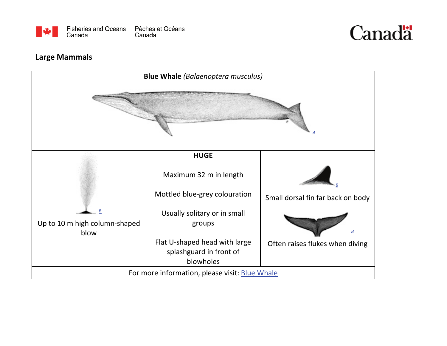



#### **Large Mammals**

<span id="page-1-0"></span>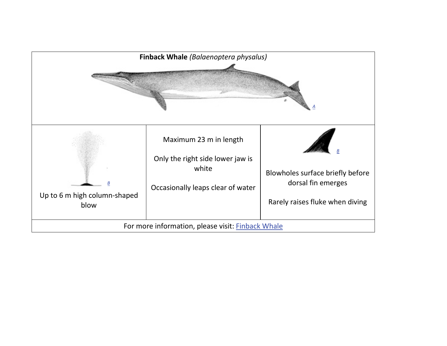<span id="page-2-0"></span>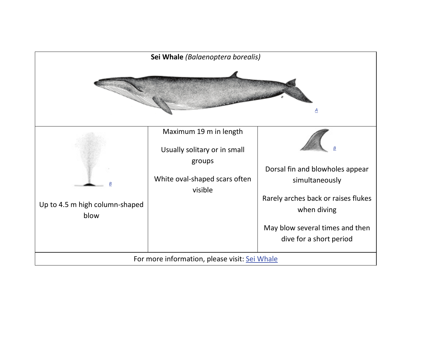<span id="page-3-0"></span>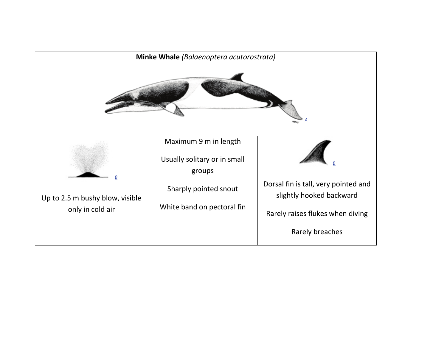<span id="page-4-0"></span>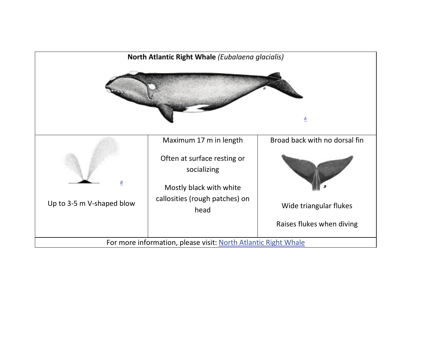<span id="page-5-0"></span>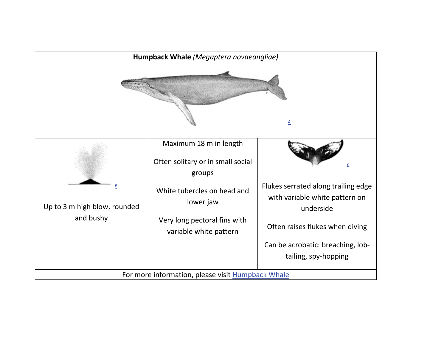<span id="page-6-0"></span>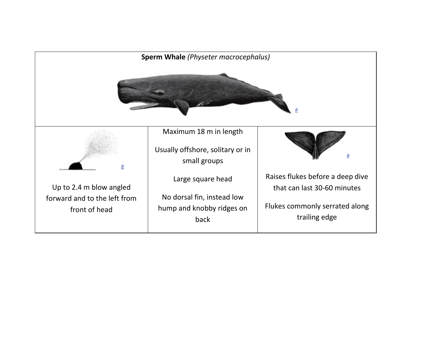<span id="page-7-0"></span>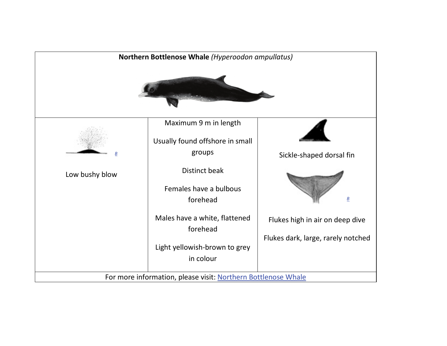<span id="page-8-0"></span>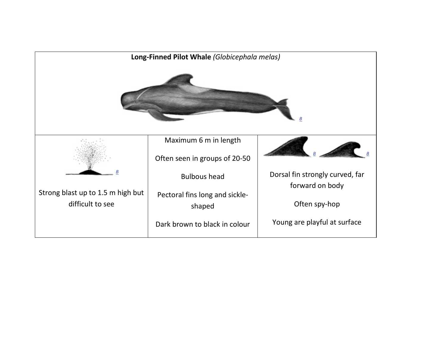<span id="page-9-0"></span>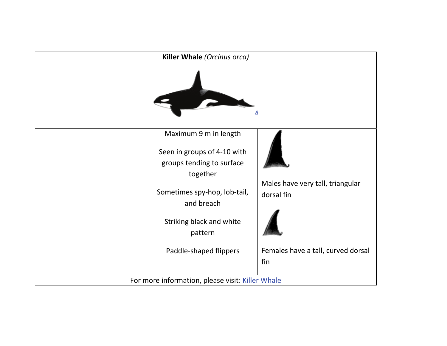<span id="page-10-0"></span>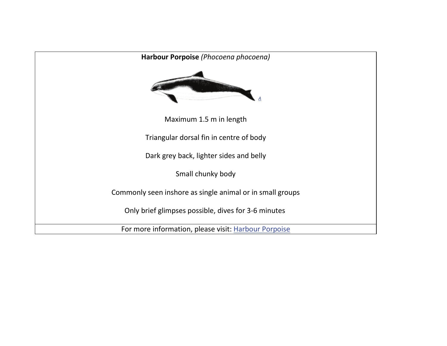<span id="page-11-0"></span>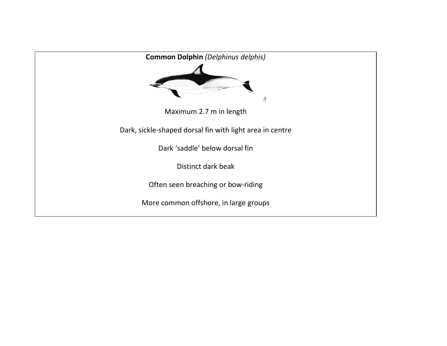<span id="page-12-0"></span>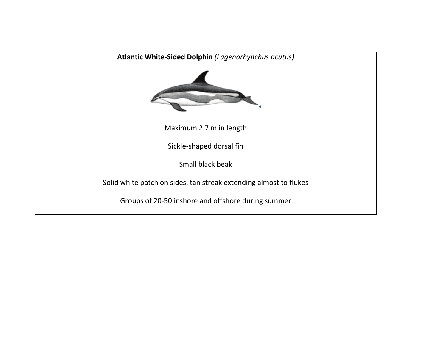<span id="page-13-0"></span>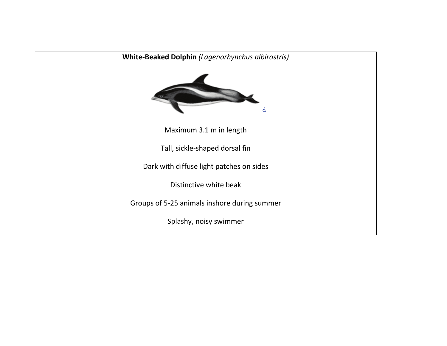<span id="page-14-0"></span>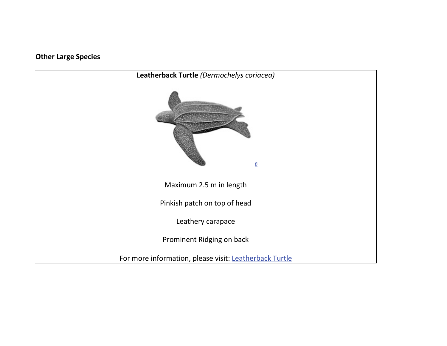#### **Other Large Species**

<span id="page-15-0"></span>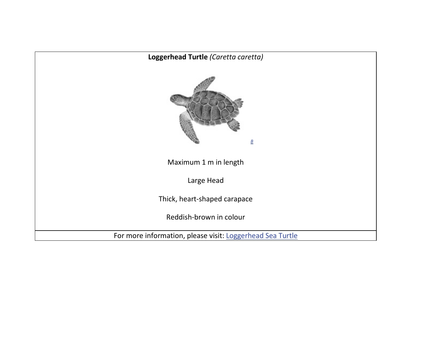<span id="page-16-0"></span>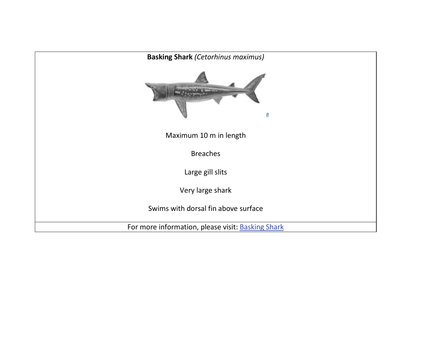<span id="page-17-0"></span>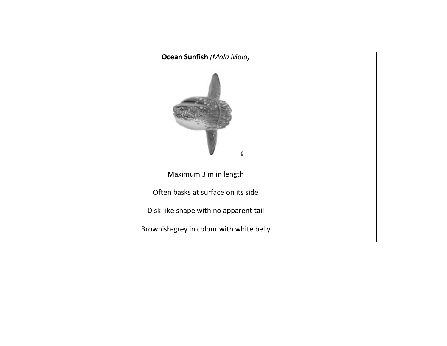<span id="page-18-0"></span>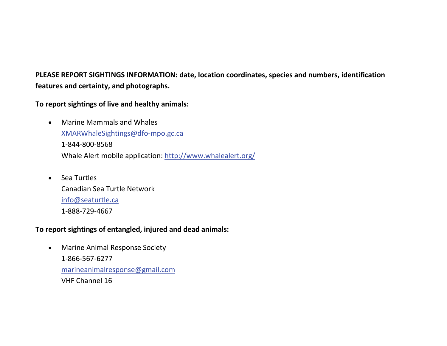**PLEASE REPORT SIGHTINGS INFORMATION: date, location coordinates, species and numbers, identification features and certainty, and photographs.**

**To report sightings of live and healthy animals:**

- Marine Mammals and Whales [XMARWhaleSightings@dfo-mpo.gc.ca](mailto:XMARWhaleSightings@dfo-mpo.gc.ca) 1-844-800-8568 Whale Alert mobile application[: http://www.whalealert.org/](http://www.whalealert.org/)
- Sea Turtles Canadian Sea Turtle Network [info@seaturtle.ca](mailto:info@seaturtle.ca) 1-888-729-4667

#### **To report sightings of entangled, injured and dead animals:**

• Marine Animal Response Society 1-866-567-6277 [marineanimalresponse@gmail.com](mailto:marineanimalresponse@gmail.com) VHF Channel 16